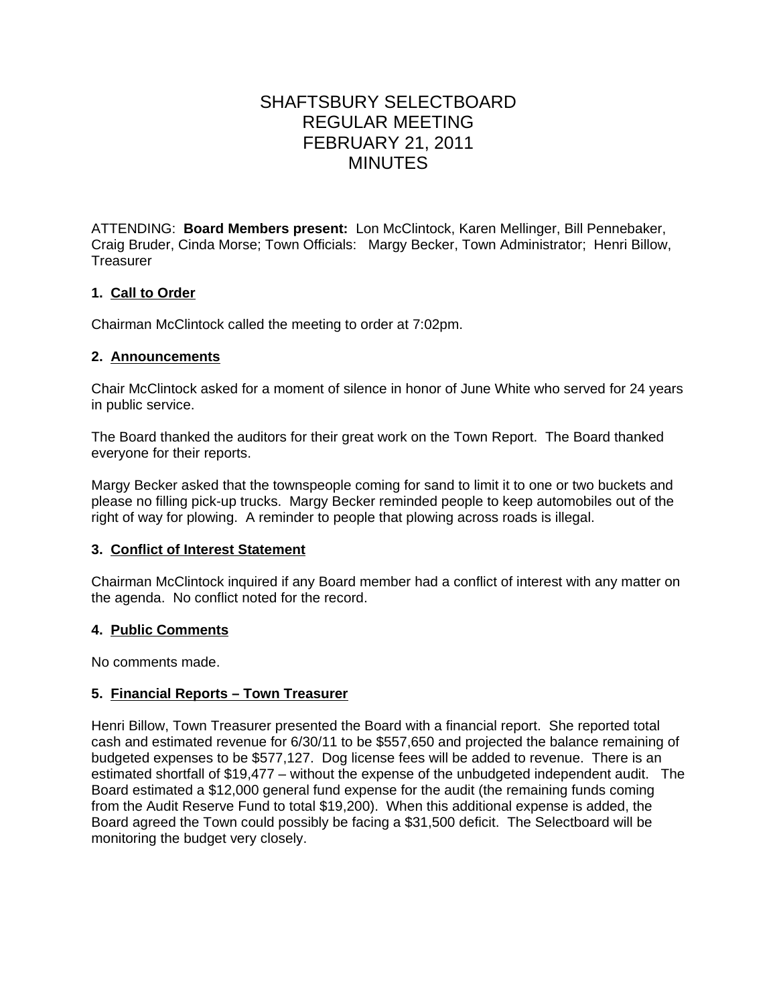# SHAFTSBURY SELECTBOARD REGULAR MEETING FEBRUARY 21, 2011 MINUTES

ATTENDING: **Board Members present:** Lon McClintock, Karen Mellinger, Bill Pennebaker, Craig Bruder, Cinda Morse; Town Officials: Margy Becker, Town Administrator; Henri Billow, **Treasurer** 

# **1. Call to Order**

Chairman McClintock called the meeting to order at 7:02pm.

## **2. Announcements**

Chair McClintock asked for a moment of silence in honor of June White who served for 24 years in public service.

The Board thanked the auditors for their great work on the Town Report. The Board thanked everyone for their reports.

Margy Becker asked that the townspeople coming for sand to limit it to one or two buckets and please no filling pick-up trucks. Margy Becker reminded people to keep automobiles out of the right of way for plowing. A reminder to people that plowing across roads is illegal.

# **3. Conflict of Interest Statement**

Chairman McClintock inquired if any Board member had a conflict of interest with any matter on the agenda. No conflict noted for the record.

# **4. Public Comments**

No comments made.

# **5. Financial Reports – Town Treasurer**

Henri Billow, Town Treasurer presented the Board with a financial report. She reported total cash and estimated revenue for 6/30/11 to be \$557,650 and projected the balance remaining of budgeted expenses to be \$577,127. Dog license fees will be added to revenue. There is an estimated shortfall of \$19,477 – without the expense of the unbudgeted independent audit. The Board estimated a \$12,000 general fund expense for the audit (the remaining funds coming from the Audit Reserve Fund to total \$19,200). When this additional expense is added, the Board agreed the Town could possibly be facing a \$31,500 deficit. The Selectboard will be monitoring the budget very closely.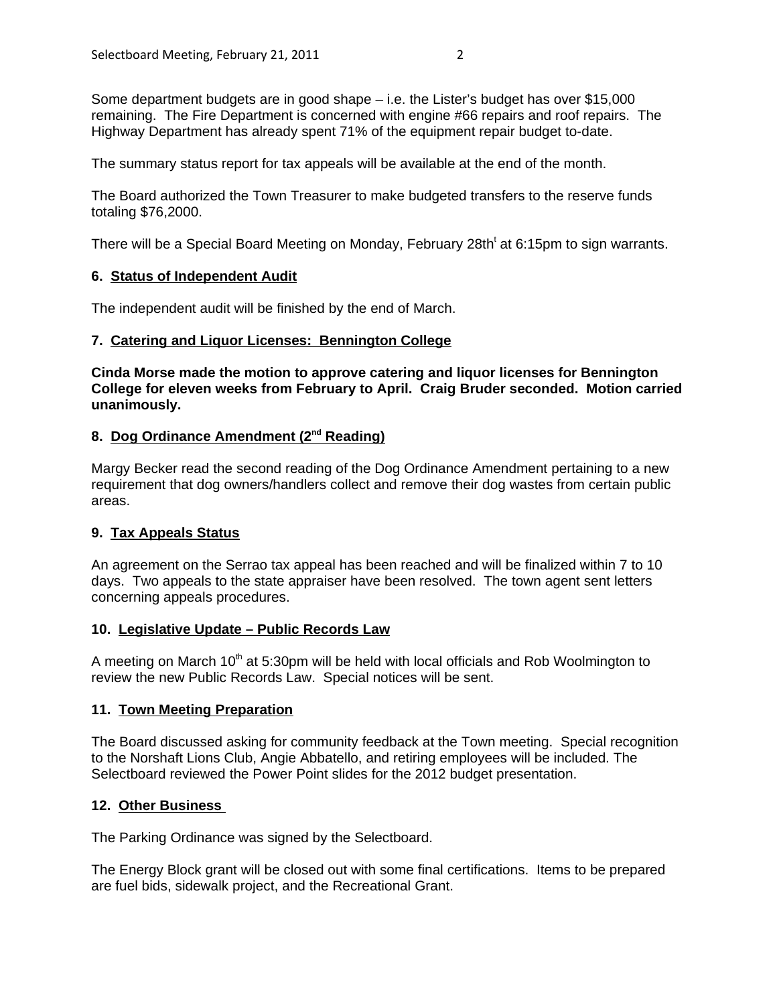Some department budgets are in good shape – i.e. the Lister's budget has over \$15,000 remaining. The Fire Department is concerned with engine #66 repairs and roof repairs. The Highway Department has already spent 71% of the equipment repair budget to-date.

The summary status report for tax appeals will be available at the end of the month.

The Board authorized the Town Treasurer to make budgeted transfers to the reserve funds totaling \$76,2000.

There will be a Special Board Meeting on Monday, February 28th<sup>t</sup> at 6:15pm to sign warrants.

## **6. Status of Independent Audit**

The independent audit will be finished by the end of March.

## **7. Catering and Liquor Licenses: Bennington College**

**Cinda Morse made the motion to approve catering and liquor licenses for Bennington College for eleven weeks from February to April. Craig Bruder seconded. Motion carried unanimously.**

# 8. Dog Ordinance Amendment (2<sup>nd</sup> Reading)

Margy Becker read the second reading of the Dog Ordinance Amendment pertaining to a new requirement that dog owners/handlers collect and remove their dog wastes from certain public areas.

# **9. Tax Appeals Status**

An agreement on the Serrao tax appeal has been reached and will be finalized within 7 to 10 days. Two appeals to the state appraiser have been resolved. The town agent sent letters concerning appeals procedures.

#### **10. Legislative Update – Public Records Law**

A meeting on March  $10<sup>th</sup>$  at 5:30pm will be held with local officials and Rob Woolmington to review the new Public Records Law. Special notices will be sent.

#### **11. Town Meeting Preparation**

The Board discussed asking for community feedback at the Town meeting. Special recognition to the Norshaft Lions Club, Angie Abbatello, and retiring employees will be included. The Selectboard reviewed the Power Point slides for the 2012 budget presentation.

#### **12. Other Business**

The Parking Ordinance was signed by the Selectboard.

The Energy Block grant will be closed out with some final certifications. Items to be prepared are fuel bids, sidewalk project, and the Recreational Grant.